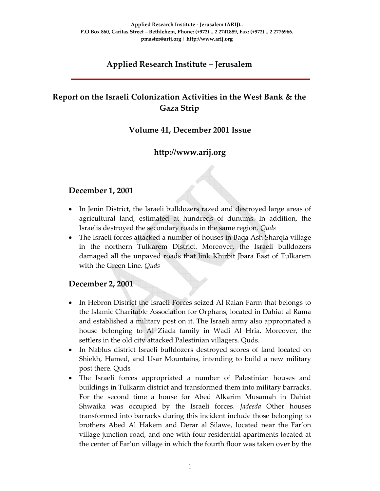# **Applied Research Institute – Jerusalem**

# **Report on the Israeli Colonization Activities in the West Bank & the Gaza Strip**

## **Volume 41, December 2001 Issue**

# **http://www.arij.org**

#### **December 1, 2001**

- In Jenin District, the Israeli bulldozers razed and destroyed large areas of agricultural land, estimated at hundreds of dunums. In addition, the Israelis destroyed the secondary roads in the same region. *Quds*
- The Israeli forces attacked a number of houses in Baqa Ash Sharqia village in the northern Tulkarem District. Moreover, the Israeli bulldozers damaged all the unpaved roads that link Khirbit Jbara East of Tulkarem with the Green Line. *Quds*

#### **December 2, 2001**

- In Hebron District the Israeli Forces seized Al Raian Farm that belongs to the Islamic Charitable Association for Orphans, located in Dahiat al Rama and established a military post on it. The Israeli army also appropriated a house belonging to Al Ziada family in Wadi Al Hria. Moreover, the settlers in the old city attacked Palestinian villagers. Quds.
- In Nablus district Israeli bulldozers destroyed scores of land located on Shiekh, Hamed, and Usar Mountains, intending to build a new military post there. Quds
- The Israeli forces appropriated a number of Palestinian houses and buildings in Tulkarm district and transformed them into military barracks. For the second time a house for Abed Alkarim Musamah in Dahiat Shwaika was occupied by the Israeli forces. *Jadeeda* Other houses transformed into barracks during this incident include those belonging to brothers Abed Al Hakem and Derar al Silawe, located near the Far'on village junction road, and one with four residential apartments located at the center of Far'un village in which the fourth floor was taken over by the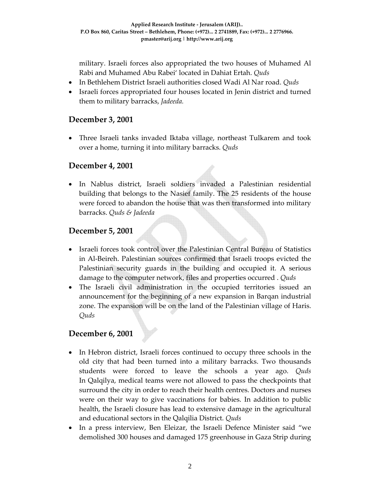military. Israeli forces also appropriated the two houses of Muhamed Al Rabi and Muhamed Abu Rabei' located in Dahiat Ertah. *Quds*

- In Bethlehem District Israeli authorities closed Wadi Al Nar road. *Quds*
- Israeli forces appropriated four houses located in Jenin district and turned them to military barracks, *Jadeeda.*

#### **December 3, 2001**

• Three Israeli tanks invaded Iktaba village, northeast Tulkarem and took over a home, turning it into military barracks. *Quds*

#### **December 4, 2001**

• In Nablus district, Israeli soldiers invaded a Palestinian residential building that belongs to the Nasief family. The 25 residents of the house were forced to abandon the house that was then transformed into military barracks. *Quds & Jadeeda*

#### **December 5, 2001**

- Israeli forces took control over the Palestinian Central Bureau of Statistics in Al‐Beireh. Palestinian sources confirmed that Israeli troops evicted the Palestinian security guards in the building and occupied it. A serious damage to the computer network, files and properties occurred . *Quds*
- The Israeli civil administration in the occupied territories issued an announcement for the beginning of a new expansion in Barqan industrial zone. The expansion will be on the land of the Palestinian village of Haris. *Quds*

#### **December 6, 2001**

- In Hebron district, Israeli forces continued to occupy three schools in the old city that had been turned into a military barracks. Two thousands students were forced to leave the schools a year ago. *Quds* In Qalqilya, medical teams were not allowed to pass the checkpoints that surround the city in order to reach their health centres. Doctors and nurses were on their way to give vaccinations for babies. In addition to public health, the Israeli closure has lead to extensive damage in the agricultural and educational sectors in the Qalqilia District. *Quds*
- In a press interview, Ben Eleizar, the Israeli Defence Minister said "we demolished 300 houses and damaged 175 greenhouse in Gaza Strip during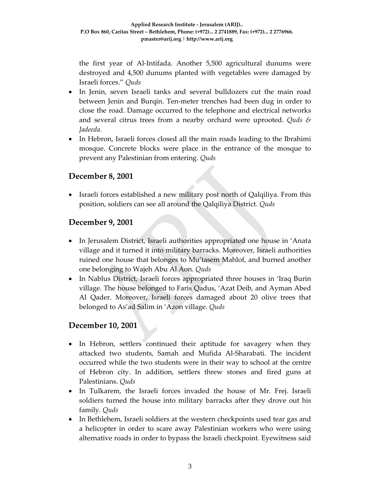the first year of Al‐Intifada. Another 5,500 agricultural dunums were destroyed and 4,500 dunums planted with vegetables were damaged by Israeli forces." *Quds*

- In Jenin, seven Israeli tanks and several bulldozers cut the main road between Jenin and Burqin. Ten‐meter trenches had been dug in order to close the road. Damage occurred to the telephone and electrical networks and several citrus trees from a nearby orchard were uprooted. *Quds & Jadeeda.*
- In Hebron, Israeli forces closed all the main roads leading to the Ibrahimi mosque. Concrete blocks were place in the entrance of the mosque to prevent any Palestinian from entering. *Quds*

## **December 8, 2001**

• Israeli forces established a new military post north of Qalqiliya. From this position, soldiers can see all around the Qalqiliya District. *Quds*

## **December 9, 2001**

- In Jerusalem District, Israeli authorities appropriated one house in 'Anata village and it turned it into military barracks. Moreover, Israeli authorities ruined one house that belonges to Mu'tasem Mahlof, and burned another one belonging to Wajeh Abu Al Aon. *Quds*
- In Nablus District, Israeli forces appropriated three houses in 'Iraq Burin village. The house belonged to Faris Qadus, 'Azat Deib, and Ayman Abed Al Qader. Moreover, Israeli forces damaged about 20 olive trees that belonged to As'ad Salim in 'Azon village. *Quds*

# **December 10, 2001**

- In Hebron, settlers continued their aptitude for savagery when they attacked two students, Samah and Mufida Al‐Sharabati. The incident occurred while the two students were in their way to school at the centre of Hebron city. In addition, settlers threw stones and fired guns at Palestinians. *Quds*
- In Tulkarem, the Israeli forces invaded the house of Mr. Frej. Israeli soldiers turned the house into military barracks after they drove out his family. *Quds*
- In Bethlehem, Israeli soldiers at the western checkpoints used tear gas and a helicopter in order to scare away Palestinian workers who were using alternative roads in order to bypass the Israeli checkpoint. Eyewitness said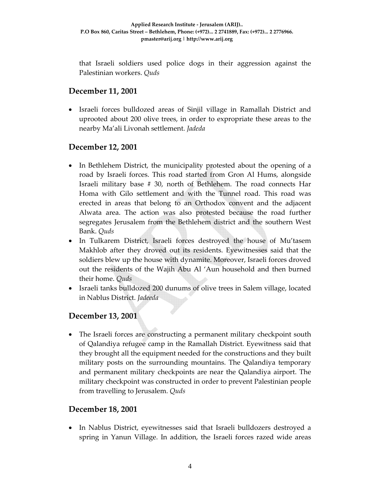that Israeli soldiers used police dogs in their aggression against the Palestinian workers. *Quds*

# **December 11, 2001**

• Israeli forces bulldozed areas of Sinjil village in Ramallah District and uprooted about 200 olive trees, in order to expropriate these areas to the nearby Ma'ali Livonah settlement. *Jadeda*

# **December 12, 2001**

- In Bethlehem District, the municipality protested about the opening of a road by Israeli forces. This road started from Gron Al Hums, alongside Israeli military base # 30, north of Bethlehem. The road connects Har Homa with Gilo settlement and with the Tunnel road. This road was erected in areas that belong to an Orthodox convent and the adjacent Alwata area. The action was also protested because the road further segregates Jerusalem from the Bethlehem district and the southern West Bank. *Quds*
- In Tulkarem District, Israeli forces destroyed the house of Mu'tasem Makhlob after they droved out its residents. Eyewitnesses said that the soldiers blew up the house with dynamite. Moreover, Israeli forces droved out the residents of the Wajih Abu Al 'Aun household and then burned their home. *Quds*
- Israeli tanks bulldozed 200 dunums of olive trees in Salem village, located in Nablus District. *Jadeeda*

# **December 13, 2001**

• The Israeli forces are constructing a permanent military checkpoint south of Qalandiya refugee camp in the Ramallah District. Eyewitness said that they brought all the equipment needed for the constructions and they built military posts on the surrounding mountains. The Qalandiya temporary and permanent military checkpoints are near the Qalandiya airport. The military checkpoint was constructed in order to prevent Palestinian people from travelling to Jerusalem. *Quds*

#### **December 18, 2001**

• In Nablus District, eyewitnesses said that Israeli bulldozers destroyed a spring in Yanun Village. In addition, the Israeli forces razed wide areas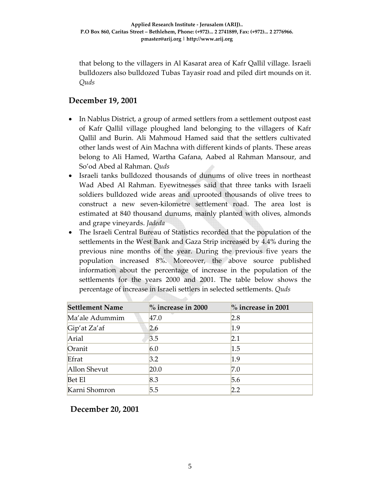that belong to the villagers in Al Kasarat area of Kafr Qallil village. Israeli bulldozers also bulldozed Tubas Tayasir road and piled dirt mounds on it. *Quds*

## **December 19, 2001**

- In Nablus District, a group of armed settlers from a settlement outpost east of Kafr Qallil village ploughed land belonging to the villagers of Kafr Qallil and Burin. Ali Mahmoud Hamed said that the settlers cultivated other lands west of Ain Machna with different kinds of plants. These areas belong to Ali Hamed, Wartha Gafana, Aabed al Rahman Mansour, and So'od Abed al Rahman. *Quds*
- Israeli tanks bulldozed thousands of dunums of olive trees in northeast Wad Abed Al Rahman. Eyewitnesses said that three tanks with Israeli soldiers bulldozed wide areas and uprooted thousands of olive trees to construct a new seven‐kilometre settlement road. The area lost is estimated at 840 thousand dunums, mainly planted with olives, almonds and grape vineyards. *Jadeda*
- The Israeli Central Bureau of Statistics recorded that the population of the settlements in the West Bank and Gaza Strip increased by 4.4% during the previous nine months of the year. During the previous five years the population increased 8%. Moreover, the above source published information about the percentage of increase in the population of the settlements for the years 2000 and 2001. The table below shows the percentage of increase in Israeli settlers in selected settlements. *Quds*

| <b>Settlement Name</b> | $\%$ increase in 2001<br>$\%$ increase in 2000 |     |
|------------------------|------------------------------------------------|-----|
| Ma'ale Adummim         | 47.0                                           | 2.8 |
| Gip'at Za'af           | 2.6                                            | 1.9 |
| Arial                  | 3.5                                            | 2.1 |
| Oranit                 | 6.0                                            | 1.5 |
| Efrat                  | 3.2                                            | 1.9 |
| Allon Shevut           | 20.0                                           | 7.0 |
| <b>Bet El</b>          | 8.3                                            | 5.6 |
| Karni Shomron          | 5.5                                            | 2.2 |

**December 20, 2001**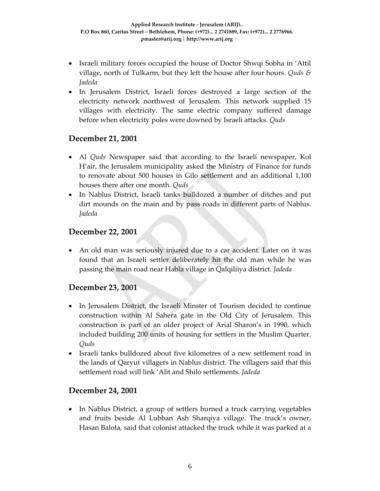- Israeli military forces occupied the house of Doctor Shwqi Sobha in 'Attil village, north of Tulkarm, but they left the house after four hours. *Quds & Jadeda*
- In Jerusalem District, Israeli forces destroyed a large section of the electricity network northwest of Jerusalem. This network supplied 15 villages with electricity. The same electric company suffered damage before when electricity poles were downed by Israeli attacks. *Quds*

## **December 21, 2001**

- Al *Quds* Newspaper said that according to the Israeli newspaper, Kol H'air, the Jerusalem municipality asked the Ministry of Finance for funds to renovate about 500 houses in Gilo settlement and an additional 1,100 houses there after one month. *Quds*
- In Nablus District, Israeli tanks bulldozed a number of ditches and put dirt mounds on the main and by pass roads in different parts of Nablus. *Jadeda*

# **December 22, 2001**

• An old man was seriously injured due to a car accident. Later on it was found that an Israeli settler deliberately hit the old man while he was passing the main road near Habla village in Qalqiliiya district. *Jadeda*

# **December 23, 2001**

- In Jerusalem District, the Israeli Minster of Tourism decided to continue construction within Al Sahera gate in the Old City of Jerusalem. This construction is part of an older project of Arial Sharon's in 1990, which included building 200 units of housing for settlers in the Muslim Quarter. *Quds*
- Israeli tanks bulldozed about five kilometres of a new settlement road in the lands of Qaryut villagers in Nablus district. The villagers said that this settlement road will link 'Alit and Shilo settlements. *Jadeda*

#### **December 24, 2001**

• In Nablus District, a group of settlers burned a truck carrying vegetables and fruits beside Al Lubban Ash Sharqiya village. The truck's owner, Hasan Balota, said that colonist attacked the truck while it was parked at a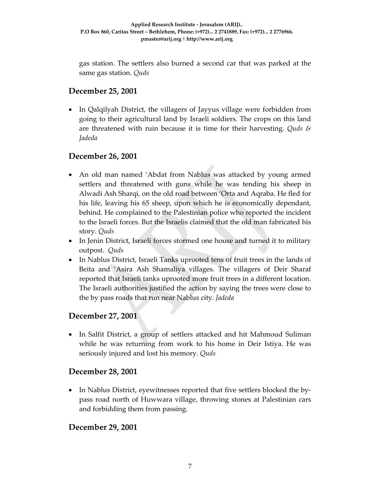gas station. The settlers also burned a second car that was parked at the same gas station. *Quds*

# **December 25, 2001**

• In Qalqilyah District, the villagers of Jayyus village were forbidden from going to their agricultural land by Israeli soldiers. The crops on this land are threatened with ruin because it is time for their harvesting. *Quds & Jadeda*

# **December 26, 2001**

- An old man named 'Abdat from Nablus was attacked by young armed settlers and threatened with guns while he was tending his sheep in Alwadi Ash Sharqi, on the old road between 'Orta and Aqraba. He fled for his life, leaving his 65 sheep, upon which he is economically dependant, behind. He complained to the Palestinian police who reported the incident to the Israeli forces. But the Israelis claimed that the old man fabricated his story. *Quds*
- In Jenin District, Israeli forces stormed one house and turned it to military outpost. *Quds*
- In Nablus District, Israeli Tanks uprooted tens of fruit trees in the lands of Beita and 'Asira Ash Shamaliya villages. The villagers of Deir Sharaf reported that Israeli tanks uprooted more fruit trees in a different location. The Israeli authorities justified the action by saying the trees were close to the by pass roads that run near Nablus city. *Jadeda*

#### **December 27, 2001**

• In Salfit District, a group of settlers attacked and hit Mahmoud Suliman while he was returning from work to his home in Deir Istiya. He was seriously injured and lost his memory. *Quds*

#### **December 28, 2001**

• In Nablus District, eyewitnesses reported that five settlers blocked the bypass road north of Huwwara village, throwing stones at Palestinian cars and forbidding them from passing.

#### **December 29, 2001**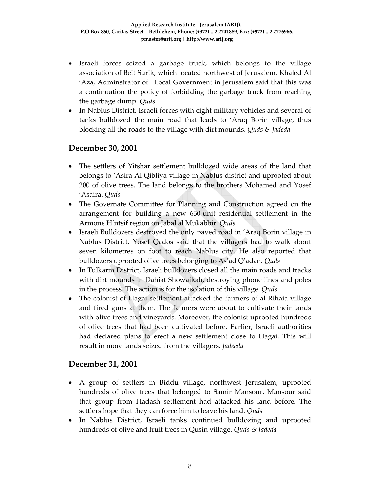- Israeli forces seized a garbage truck, which belongs to the village association of Beit Surik, which located northwest of Jerusalem. Khaled Al 'Aza, Adminstrator of Local Government in Jerusalem said that this was a continuation the policy of forbidding the garbage truck from reaching the garbage dump. *Quds*
- In Nablus District, Israeli forces with eight military vehicles and several of tanks bulldozed the main road that leads to 'Araq Borin village, thus blocking all the roads to the village with dirt mounds. *Quds & Jadeda*

# **December 30, 2001**

- The settlers of Yitshar settlement bulldozed wide areas of the land that belongs to 'Asira Al Qibliya village in Nablus district and uprooted about 200 of olive trees. The land belongs to the brothers Mohamed and Yosef 'Asaira. *Quds*
- The Governate Committee for Planning and Construction agreed on the arrangement for building a new 630‐unit residential settlement in the Armone H'ntsif region on Jabal al Mukabbir. *Quds*
- Israeli Bulldozers destroyed the only paved road in 'Araq Borin village in Nablus District. Yosef Qados said that the villagers had to walk about seven kilometres on foot to reach Nablus city. He also reported that bulldozers uprooted olive trees belonging to As'ad Q'adan. *Quds*
- In Tulkarm District, Israeli bulldozers closed all the main roads and tracks with dirt mounds in Dahiat Showaikah, destroying phone lines and poles in the process. The action is for the isolation of this village. *Quds*
- The colonist of Hagai settlement attacked the farmers of al Rihaia village and fired guns at them. The farmers were about to cultivate their lands with olive trees and vineyards. Moreover, the colonist uprooted hundreds of olive trees that had been cultivated before. Earlier, Israeli authorities had declared plans to erect a new settlement close to Hagai. This will result in more lands seized from the villagers. *Jadeeda*

# **December 31, 2001**

- A group of settlers in Biddu village, northwest Jerusalem, uprooted hundreds of olive trees that belonged to Samir Mansour. Mansour said that group from Hadash settlement had attacked his land before. The settlers hope that they can force him to leave his land. *Quds*
- In Nablus District, Israeli tanks continued bulldozing and uprooted hundreds of olive and fruit trees in Qusin village. *Quds & Jadeda*